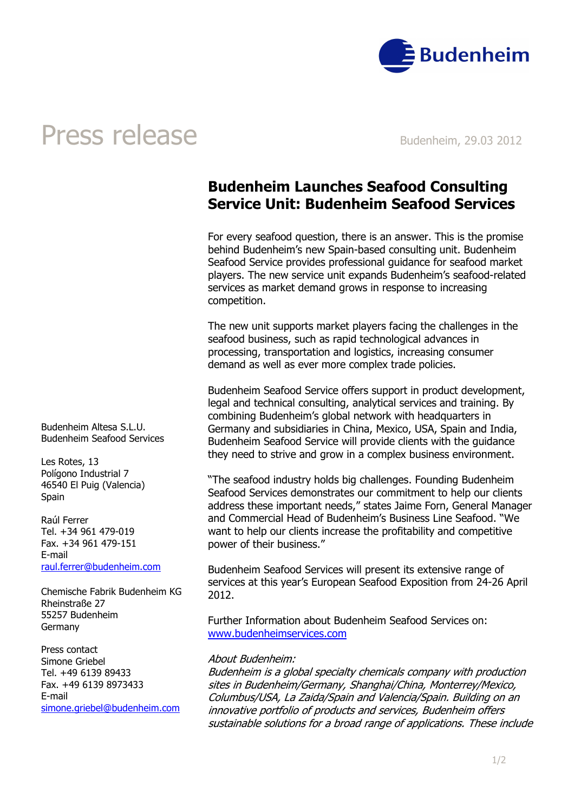

## Press release Budenheim, 29.03 2012

### Budenheim Launches Seafood Consulting Service Unit: Budenheim Seafood Services

For every seafood question, there is an answer. This is the promise behind Budenheim's new Spain-based consulting unit. Budenheim Seafood Service provides professional guidance for seafood market players. The new service unit expands Budenheim's seafood-related services as market demand grows in response to increasing competition.

The new unit supports market players facing the challenges in the seafood business, such as rapid technological advances in processing, transportation and logistics, increasing consumer demand as well as ever more complex trade policies.

Budenheim Seafood Service offers support in product development, legal and technical consulting, analytical services and training. By combining Budenheim's global network with headquarters in Germany and subsidiaries in China, Mexico, USA, Spain and India, Budenheim Seafood Service will provide clients with the guidance they need to strive and grow in a complex business environment.

"The seafood industry holds big challenges. Founding Budenheim Seafood Services demonstrates our commitment to help our clients address these important needs," states Jaime Forn, General Manager and Commercial Head of Budenheim's Business Line Seafood. "We want to help our clients increase the profitability and competitive power of their business."

Budenheim Seafood Services will present its extensive range of services at this year's European Seafood Exposition from 24-26 April 2012.

Further Information about Budenheim Seafood Services on: www.budenheimservices.com

### About Budenheim:

Budenheim is a global specialty chemicals company with production sites in Budenheim/Germany, Shanghai/China, Monterrey/Mexico, Columbus/USA, La Zaida/Spain and Valencia/Spain. Building on an innovative portfolio of products and services, Budenheim offers sustainable solutions for a broad range of applications. These include

Budenheim Altesa S.L.U. Budenheim Seafood Services

Les Rotes, 13 Polígono Industrial 7 46540 El Puig (Valencia) **Spain** 

Raúl Ferrer Tel. +34 961 479-019 Fax. +34 961 479-151 E-mail raul.ferrer@budenheim.com

Chemische Fabrik Budenheim KG Rheinstraße 27 55257 Budenheim Germany

Press contact Simone Griebel Tel. +49 6139 89433 Fax. +49 6139 8973433 E-mail simone.griebel@budenheim.com